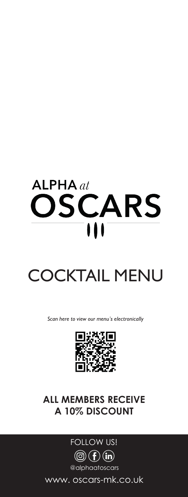# $ALPHA$  at OSCARS  $\blacksquare$

# $\begin{array}{c}\n\bullet \\
\bullet \\
\bullet \\
\bullet\n\end{array}$ COCKTAIL MENU

*Scan here to view our menu's electronically*



# **ALL MEMBERS RECEIVE A 10% DISCOUNT**



www. oscars-mk.co.uk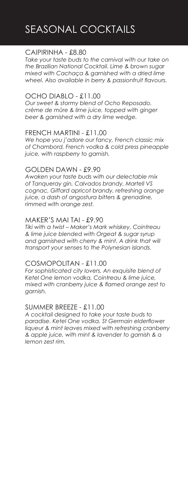# CAIPIRINHA - £8.80

*Take your taste buds to the carnival with our take on the Brazilian National Cocktail. Lime & brown sugar mixed with Cachaça & garnished with a dried lime wheel. Also available in berry & passionfruit flavours.* 

#### OCHO DIABLO - £11.00

*Our sweet & stormy blend of Ocho Reposado, crème de mûre & lime juice, topped with ginger beer & garnished with a dry lime wedge.*

#### FRENCH MARTINI - £11.00

*We hope you j'adore our fancy, French classic mix of Chambord, French vodka & cold press pineapple juice, with raspberry to garnish.*

#### GOLDEN DAWN - £9.90

*Awaken your taste buds with our delectable mix of Tanqueray gin, Calvados brandy, Martell VS cognac, Giffard apricot brandy, refreshing orange juice, a dash of angostura bitters & grenadine, rimmed with orange zest.* 

#### MAKER'S MAI TAI - £9.90

*Tiki with a twist – Maker's Mark whiskey, Cointreau & lime juice blended with Orgeat & sugar syrup and garnished with cherry & mint. A drink that will transport your senses to the Polynesian islands.* 

#### COSMOPOLITAN - £11.00

*For sophisticated city lovers. An exquisite blend of Ketel One lemon vodka, Cointreau & lime juice, mixed with cranberry juice & flamed orange zest to garnish.*

# SUMMER BREEZE - £11.00

*A cocktail designed to take your taste buds to paradise. Ketel One vodka, St Germain elderflower liqueur & mint leaves mixed with refreshing cranberry & apple juice, with mint & lavender to garnish & a lemon zest rim.*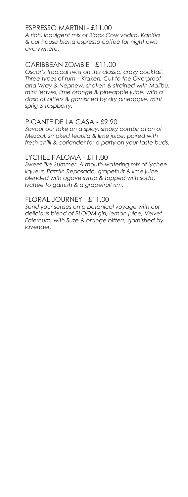# ESPRESSO MARTINI - £11.00

*A rich, indulgent mix of Black Cow vodka, Kahlúa & our house blend espresso coffee for night owls everywhere.*

# CARIBBEAN ZOMBIE - £11.00

*Oscar's tropical twist on this classic, crazy cocktail. Three types of rum – Kraken, Cut to the Overproof and Wray & Nephew, shaken & strained with Malibu, mint leaves, lime orange & pineapple juice, with a dash of bitters & garnished by dry pineapple, mint sprig & raspberry.*

#### PICANTE DE LA CASA - £9.90

*Savour our take on a spicy, smoky combination of Mezcal, smoked tequila & lime juice, paired with fresh chilli & coriander for a party on your taste buds.*

#### LYCHEE PALOMA - £11.00

*Sweet like Summer. A mouth-watering mix of lychee liqueur, Patrón Reposado, grapefruit & lime juice blended with agave syrup & topped with soda, lychee to garnish & a grapefruit rim.* 

#### FLORAL JOURNEY - £11.00

*Send your senses on a botanical voyage with our delicious blend of BLOOM gin, lemon juice, Velvet Falernum, with Suze & orange bitters, garnished by lavender.*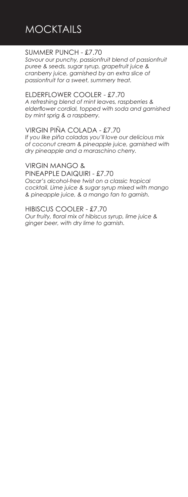# **MOCKTAILS**

# SUMMER PUNCH - £7.70

*Savour our punchy, passionfruit blend of passionfruit puree & seeds, sugar syrup, grapefruit juice & cranberry juice, garnished by an extra slice of passionfruit for a sweet, summery treat.*

# ELDERFLOWER COOLER - £7.70

*A refreshing blend of mint leaves, raspberries & elderflower cordial, topped with soda and garnished by mint sprig & a raspberry.*

# VIRGIN PIÑA COLADA - £7.70

*If you like piña coladas you'll love our delicious mix of coconut cream & pineapple juice, garnished with dry pineapple and a maraschino cherry.*

VIRGIN MANGO & PINEAPPLE DAIQUIRI - £7.70 *Oscar's alcohol-free twist on a classic tropical cocktail. Lime juice & sugar syrup mixed with mango & pineapple juice, & a mango fan to garnish.*

HIBISCUS COOLER - £7.70 *Our fruity, floral mix of hibiscus syrup, lime juice & ginger beer, with dry lime to garnish.*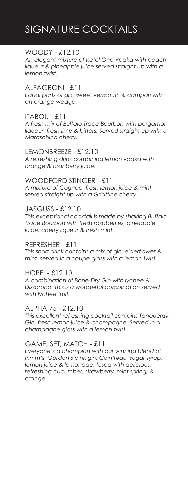# SIGNATURE COCKTAILS

# WOODY - £12.10

*An elegant mixture of Ketel One Vodka with peach liqueur & pineapple juice served straight up with a lemon twist.*

#### ALFAGRONI - £11

*Equal parts of gin, sweet vermouth & campari with an orange wedge.*

# ITABOU - £11

*A fresh mix of Buffalo Trace Bourbon with bergamot liqueur, fresh lime & bitters. Served straight up with a Maraschino cherry.*

#### LEMONBREEZE - £12.10

*A refreshing drink combining lemon vodka with orange & cranberry juice.*

#### WOODFORD STINGER - £11

*A mixture of Cognac, fresh lemon juice & mint served straight up with a Griottine cherry.*

# JASGUSS - £12.10

*This exceptional cocktail is made by shaking Buffalo Trace Bourbon with fresh raspberries, pineapple juice, cherry liqueur & fresh mint.*

#### REFRESHER - £11

*This short drink contains a mix of gin, elderflower & mint, served in a coupe glass with a lemon twist.*

# HOPE - £12.10

*A combination of Bone-Dry Gin with lychee & Dissarono. This is a wonderful combination served with lychee fruit.*

#### ALPHA 75 - £12.10

*This excellent refreshing cocktail contains Tanqueray Gin, fresh lemon juice & champagne. Served in a champagne glass with a lemon twist.*

# GAME, SET, MATCH - £11

*Everyone's a champion with our winning blend of Pimm's, Gordon's pink gin, Cointreau, sugar syrup, lemon juice & lemonade, fused with delicious, refreshing cucumber, strawberry, mint spring, & orange.*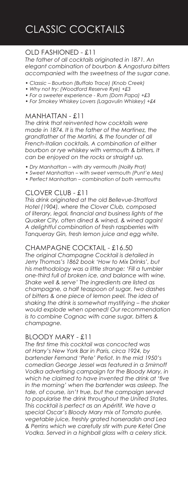# OLD FASHIONED - £11

*The father of all cocktails originated in 1871. An elegant combination of bourbon & Angostura bitters accompanied with the sweetness of the sugar cane.*

- *Classic Bourbon (Buffalo Trace) (Knob Creek)*
- *Why not try: (Woodford Reserve Rye) +£3*
- *For a sweeter experience Rum (Dom Papa) +£3*
- *For Smokey Whiskey Lovers (Lagavulin Whiskey) +£4*

# MANHATTAN - £11

*The drink that reinvented how cocktails were made in 1874. It is the father of the Martinez, the grandfather of the Martini, & the founder of all French-Italian cocktails. A combination of either bourbon or rye whiskey with vermouth & bitters. It can be enjoyed on the rocks or straight up.*

- *Dry Manhattan with dry vermouth (Noilly Prat)*
- *Sweet Manhattan with sweet vermouth (Punt'e Mes)*
- *Perfect Manhattan combination of both vermouths*

# CLOVER CLUB - £11

*This drink originated at the old Bellevue-Stratford Hotel (1904), where the Clover Club, composed of literary, legal, financial and business lights of the Quaker City, often dined & wined, & wined again! A delightful combination of fresh raspberries with Tanqueray Gin, fresh lemon juice and egg white.*

#### CHAMPAGNE COCKTAIL - £16.50

*The original Champagne Cocktail is detailed in Jerry Thomas's 1862 book 'How to Mix Drinks', but his methodology was a little strange: 'Fill a tumbler one-third full of broken ice, and balance with wine. Shake well & serve' The ingredients are listed as champagne, a half teaspoon of sugar, two dashes of bitters & one piece of lemon peel. The idea of shaking the drink is somewhat mystifying – the shaker would explode when opened! Our recommendation is to combine Cognac with cane sugar, bitters & champagne.*

#### BLOODY MARY - £11

*The first time this cocktail was concocted was at Harry's New York Bar in Paris, circa 1924, by bartender Fernand 'Pete' Petiot. In the mid 1950's comedian George Jessel was featured in a Smirnoff Vodka advertising campaign for the Bloody Mary, in which he claimed to have invented the drink at 'five in the morning' when the bartender was asleep. The tale, of course, isn't true, but the campaign served to popularise the drink throughout the United States. This cocktail is perfect as an Apéritif. We have a special Oscar's Bloody Mary mix of Tomato purée, vegetable juice, freshly grated horseradish and Lea & Perrins which we carefully stir with pure Ketel One Vodka. Served in a highball glass with a celery stick.*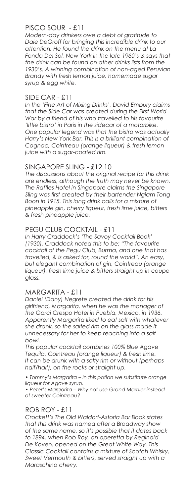# PISCO SOUR - £11

*Modern-day drinkers owe a debt of gratitude to Dale DeGroff for bringing this incredible drink to our attention. He found the drink on the menu at La Fonda Del Sol, New York in the late 1960's & says that the drink can be found on other drinks lists from the 1930's. A winning combination of non-aged Peruvian Brandy with fresh lemon juice, homemade sugar syrup & egg white.*

#### SIDE CAR - £11

*In the 'Fine Art of Mixing Drinks', David Embury claims that the Side Car was created during the First World War by a friend of his who travelled to his favourite 'little bistro' in Paris in the sidecar of a motorbike. One popular legend was that the bistro was actually Harry's New York Bar. This is a brilliant combination of Cognac, Cointreau (orange liqueur) & fresh lemon juice with a sugar-coated rim.*

# SINGAPORE SLING - £12.10

*The discussions about the original recipe for this drink are endless, although the truth may never be known. The Raffles Hotel in Singapore claims the Singapore Sling was first created by their bartender Ngiam Tong Boon in 1915. This long drink calls for a mixture of pineapple gin, cherry liqueur, fresh lime juice, bitters & fresh pineapple juice.*

# PEGU CLUB COCKTAIL - £11

*In Harry Craddock's 'The Savoy Cocktail Book' (1930), Craddock noted this to be: "The favourite cocktail of the Pegu Club, Burma, and one that has travelled, & is asked for, round the world". An easy, but elegant combination of gin, Cointreau (orange liqueur), fresh lime juice & bitters straight up in coupe glass.*

# MARGARITA - £11

*Daniel (Dany) Negrete created the drink for his girlfriend, Margarita, when he was the manager of the Garci Crespo Hotel in Puebla, Mexico, in 1936. Apparently Margarita liked to eat salt with whatever she drank, so the salted rim on the glass made it unnecessary for her to keep reaching into a salt bowl.*

*This popular cocktail combines 100% Blue Agave Tequila, Cointreau (orange liqueur) & fresh lime. It can be drunk with a salty rim or without (perhaps half/half), on the rocks or straight up.*

*• Tommy's Margarita – In this potion we substitute orange liqueur for Agave syrup.*

*• Peter's Margarita – Why not use Grand Marnier instead of sweeter Cointreau?*

# ROB ROY - £11

*Crockett's The Old Waldorf-Astoria Bar Book states that this drink was named after a Broadway show of the same name, so it's possible that it dates back to 1894, when Rob Roy, an operetta by Reginald De Koven, opened on the Great White Way. This Classic Cocktail contains a mixture of Scotch Whisky, Sweet Vermouth & bitters, served straight up with a Maraschino cherry.*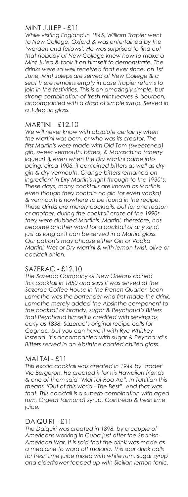#### MINT JULEP - £11

*While visiting England in 1845, William Trapier went to New College, Oxford & was entertained by the 'warden and fellows'. He was surprised to find out that nobody at New College knew how to make a Mint Julep & took it on himself to demonstrate. The drinks were so well received that ever since, on 1st June, Mint Juleps are served at New College & a seat there remains empty in case Trapier returns to join in the festivities. This is an amazingly simple, but strong combination of fresh mint leaves & bourbon, accompanied with a dash of simple syrup. Served in a Julep tin glass.*

#### MARTINI - £12.10

*We will never know with absolute certainty when the Martini was born, or who was its creator. The first Martinis were made with Old Tom (sweetened) gin, sweet vermouth, bitters, & Maraschino (cherry liqueur) & even when the Dry Martini came into being, circa 1906, it contained bitters as well as dry gin & dry vermouth. Orange bitters remained an ingredient in Dry Martinis right through to the 1930's. These days, many cocktails are known as Martinis even though they contain no gin (or even vodka) & vermouth is nowhere to be found in the recipe. These drinks are merely cocktails, but for one reason or another, during the cocktail craze of the 1990s they were dubbed Martinis. Martini, therefore, has become another word for a cocktail of any kind, just as long as it can be served in a Martini glass. Our patron's may choose either Gin or Vodka Martini, Wet or Dry Martini & with lemon twist, olive or cocktail onion.*

# SAZERAC - £12.10

*The Sazerac Company of New Orleans coined this cocktail in 1850 and says it was served at the Sazerac Coffee House in the French Quarter. Leon Lamothe was the bartender who first made the drink. Lamothe merely added the Absinthe component to the cocktail of brandy, sugar & Peychaud's Bitters that Peychaud himself is credited with serving as early as 1838. Sazerac's original recipe calls for Cognac, but you can have it with Rye Whiskey instead. It's accompanied with sugar & Peychaud's Bitters served in an Absinthe coated chilled glass.*

#### MAI TAI - £11

*This exotic cocktail was created in 1944 by 'trader' Vic Bergeron. He created it for his Hawaiian friends & one of them said "Mai Tai-Roa Ae". In Tahitian this means "Out of this world - The Best". And that was that. This cocktail is a superb combination with aged rum, Orgeat (almond) syrup, Cointreau & fresh lime juice.*

# DAIQUIRI - £11

*The Daiquiri was created in 1898, by a couple of Americans working in Cuba just after the Spanish-American War. It is said that the drink was made as a medicine to ward off malaria. This sour drink calls for fresh lime juice mixed with white rum, sugar syrup and elderflower topped up with Sicilian lemon tonic.*